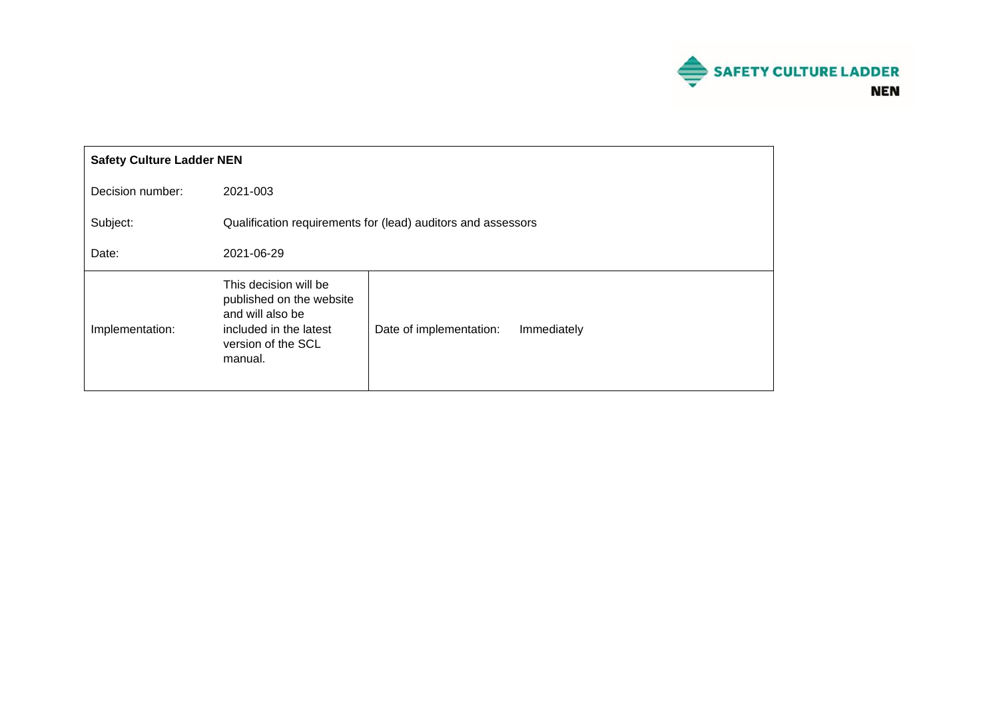

| <b>Safety Culture Ladder NEN</b> |                                                                                                                                  |                         |             |
|----------------------------------|----------------------------------------------------------------------------------------------------------------------------------|-------------------------|-------------|
| Decision number:                 | 2021-003                                                                                                                         |                         |             |
| Subject:                         | Qualification requirements for (lead) auditors and assessors                                                                     |                         |             |
| Date:                            | 2021-06-29                                                                                                                       |                         |             |
| Implementation:                  | This decision will be<br>published on the website<br>and will also be<br>included in the latest<br>version of the SCL<br>manual. | Date of implementation: | Immediately |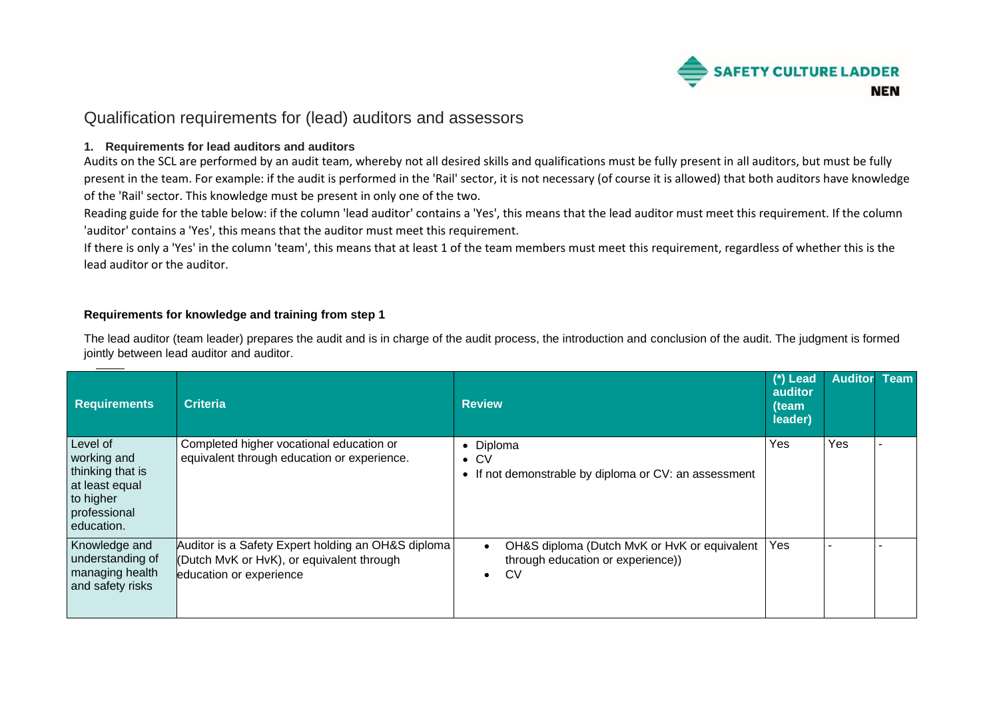

# Qualification requirements for (lead) auditors and assessors

#### **1. Requirements for lead auditors and auditors**

Audits on the SCL are performed by an audit team, whereby not all desired skills and qualifications must be fully present in all auditors, but must be fully present in the team. For example: if the audit is performed in the 'Rail' sector, it is not necessary (of course it is allowed) that both auditors have knowledge of the 'Rail' sector. This knowledge must be present in only one of the two.

Reading guide for the table below: if the column 'lead auditor' contains a 'Yes', this means that the lead auditor must meet this requirement. If the column 'auditor' contains a 'Yes', this means that the auditor must meet this requirement.

If there is only a 'Yes' in the column 'team', this means that at least 1 of the team members must meet this requirement, regardless of whether this is the lead auditor or the auditor.

#### **Requirements for knowledge and training from step 1**

The lead auditor (team leader) prepares the audit and is in charge of the audit process, the introduction and conclusion of the audit. The judgment is formed jointly between lead auditor and auditor.

| <b>Requirements</b>                                                                                      | <b>Criteria</b>                                                                                                            | <b>Review</b>                                                                                        | (*) Lead<br>auditor<br>(team<br>leader) | <b>Auditor Team</b> |  |
|----------------------------------------------------------------------------------------------------------|----------------------------------------------------------------------------------------------------------------------------|------------------------------------------------------------------------------------------------------|-----------------------------------------|---------------------|--|
| Level of<br>working and<br>thinking that is<br>at least equal<br>to higher<br>professional<br>education. | Completed higher vocational education or<br>equivalent through education or experience.                                    | • Diploma<br>$\bullet$ CV<br>• If not demonstrable by diploma or CV: an assessment                   | Yes                                     | Yes                 |  |
| Knowledge and<br>understanding of<br>managing health<br>and safety risks                                 | Auditor is a Safety Expert holding an OH&S diploma<br>(Dutch MvK or HvK), or equivalent through<br>education or experience | OH&S diploma (Dutch MvK or HvK or equivalent<br>through education or experience))<br>CV<br>$\bullet$ | Yes                                     |                     |  |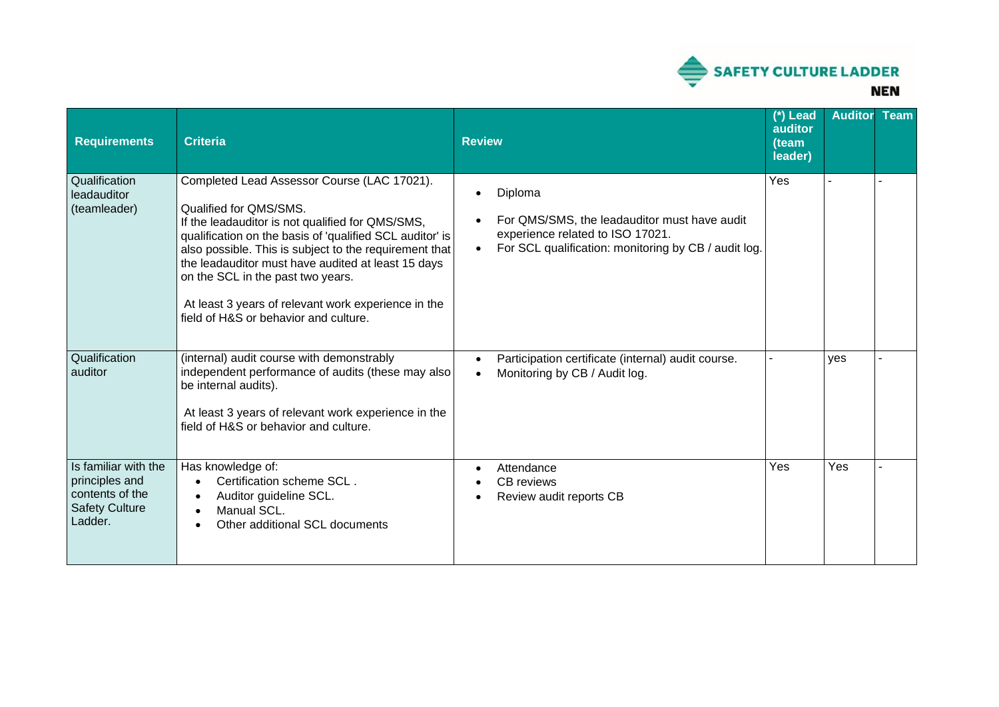

| <b>Requirements</b>                                                                           | <b>Criteria</b>                                                                                                                                                                                                                                                                                                                                                                                                                            | <b>Review</b>                                                                                                                                                    | (*) Lead<br>auditor<br>(team<br>leader) | <b>Auditor</b> | <b>Team</b> |
|-----------------------------------------------------------------------------------------------|--------------------------------------------------------------------------------------------------------------------------------------------------------------------------------------------------------------------------------------------------------------------------------------------------------------------------------------------------------------------------------------------------------------------------------------------|------------------------------------------------------------------------------------------------------------------------------------------------------------------|-----------------------------------------|----------------|-------------|
| Qualification<br>leadauditor<br>(teamleader)                                                  | Completed Lead Assessor Course (LAC 17021).<br>Qualified for QMS/SMS.<br>If the leadauditor is not qualified for QMS/SMS,<br>qualification on the basis of 'qualified SCL auditor' is<br>also possible. This is subject to the requirement that<br>the leadauditor must have audited at least 15 days<br>on the SCL in the past two years.<br>At least 3 years of relevant work experience in the<br>field of H&S or behavior and culture. | Diploma<br>For QMS/SMS, the leadauditor must have audit<br>experience related to ISO 17021.<br>For SCL qualification: monitoring by CB / audit log.<br>$\bullet$ | Yes                                     |                |             |
| Qualification<br>auditor                                                                      | (internal) audit course with demonstrably<br>independent performance of audits (these may also<br>be internal audits).<br>At least 3 years of relevant work experience in the<br>field of H&S or behavior and culture.                                                                                                                                                                                                                     | Participation certificate (internal) audit course.<br>$\bullet$<br>Monitoring by CB / Audit log.<br>$\bullet$                                                    |                                         | yes            |             |
| Is familiar with the<br>principles and<br>contents of the<br><b>Safety Culture</b><br>Ladder. | Has knowledge of:<br>Certification scheme SCL.<br>$\bullet$<br>Auditor guideline SCL.<br>$\bullet$<br>Manual SCL.<br>$\bullet$<br>Other additional SCL documents<br>$\bullet$                                                                                                                                                                                                                                                              | Attendance<br>$\bullet$<br><b>CB</b> reviews<br>Review audit reports CB                                                                                          | Yes                                     | Yes            |             |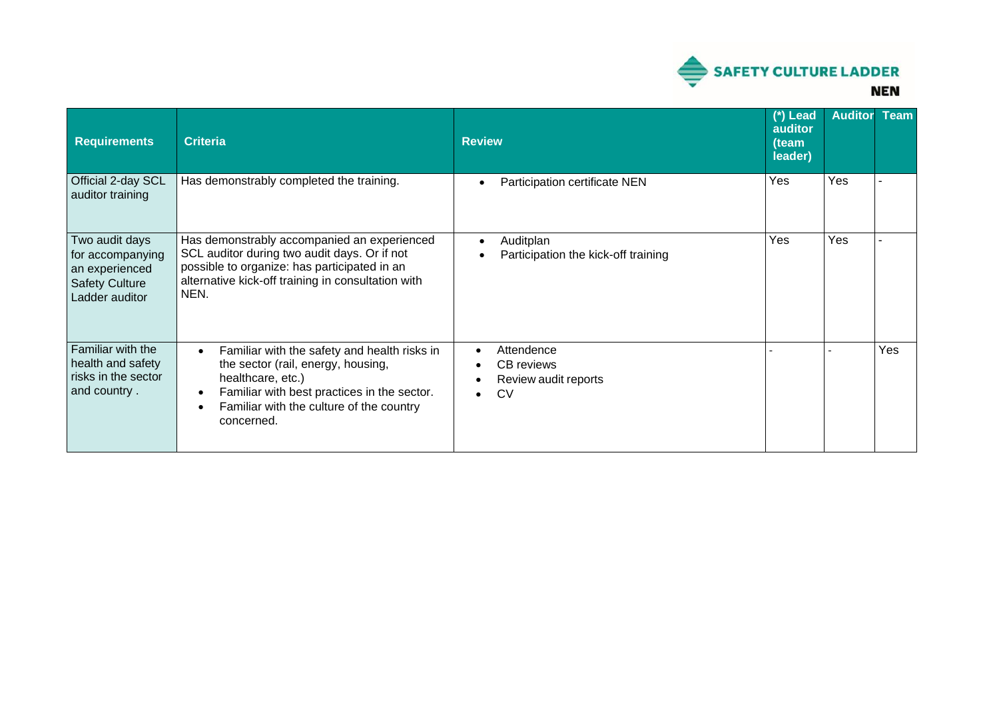

| <b>Requirements</b>                                                                             | <b>Criteria</b>                                                                                                                                                                                                               | <b>Review</b>                                                                   | (*) Lead<br>auditor<br>(team<br>leader) | <b>Auditor</b> | <b>Team</b> |
|-------------------------------------------------------------------------------------------------|-------------------------------------------------------------------------------------------------------------------------------------------------------------------------------------------------------------------------------|---------------------------------------------------------------------------------|-----------------------------------------|----------------|-------------|
| Official 2-day SCL<br>auditor training                                                          | Has demonstrably completed the training.                                                                                                                                                                                      | Participation certificate NEN<br>$\bullet$                                      | Yes                                     | Yes            |             |
| Two audit days<br>for accompanying<br>an experienced<br><b>Safety Culture</b><br>Ladder auditor | Has demonstrably accompanied an experienced<br>SCL auditor during two audit days. Or if not<br>possible to organize: has participated in an<br>alternative kick-off training in consultation with<br>NEN.                     | Auditplan<br>$\bullet$<br>Participation the kick-off training                   | Yes                                     | Yes            |             |
| Familiar with the<br>health and safety<br>risks in the sector<br>and country.                   | Familiar with the safety and health risks in<br>$\bullet$<br>the sector (rail, energy, housing,<br>healthcare, etc.)<br>Familiar with best practices in the sector.<br>Familiar with the culture of the country<br>concerned. | Attendence<br>٠<br>CB reviews<br>Review audit reports<br><b>CV</b><br>$\bullet$ |                                         |                | Yes         |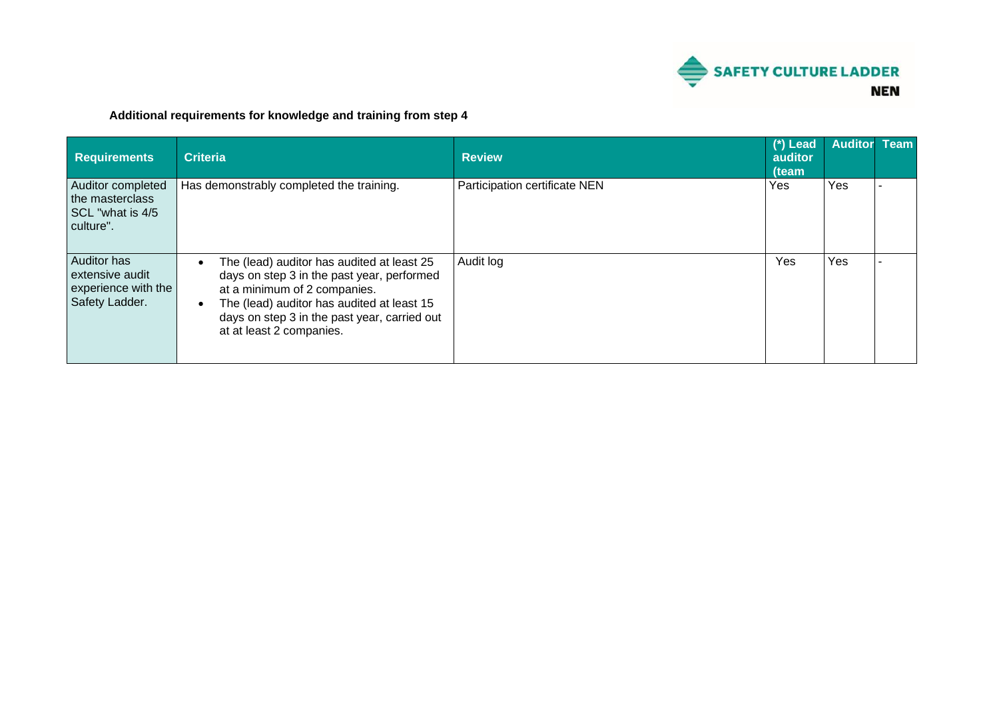

## **Additional requirements for knowledge and training from step 4**

| <b>Requirements</b>                                                     | <b>Criteria</b>                                                                                                                                                                                                                                    | <b>Review</b>                 | $(*)$ Lead<br>auditor<br>(team | <b>Auditor</b> | <b>Team</b> |
|-------------------------------------------------------------------------|----------------------------------------------------------------------------------------------------------------------------------------------------------------------------------------------------------------------------------------------------|-------------------------------|--------------------------------|----------------|-------------|
| Auditor completed<br>the masterclass<br>SCL "what is 4/5"<br>culture".  | Has demonstrably completed the training.                                                                                                                                                                                                           | Participation certificate NEN | Yes                            | Yes            |             |
| Auditor has<br>extensive audit<br>experience with the<br>Safety Ladder. | The (lead) auditor has audited at least 25<br>days on step 3 in the past year, performed<br>at a minimum of 2 companies.<br>The (lead) auditor has audited at least 15<br>days on step 3 in the past year, carried out<br>at at least 2 companies. | Audit log                     | Yes                            | Yes            |             |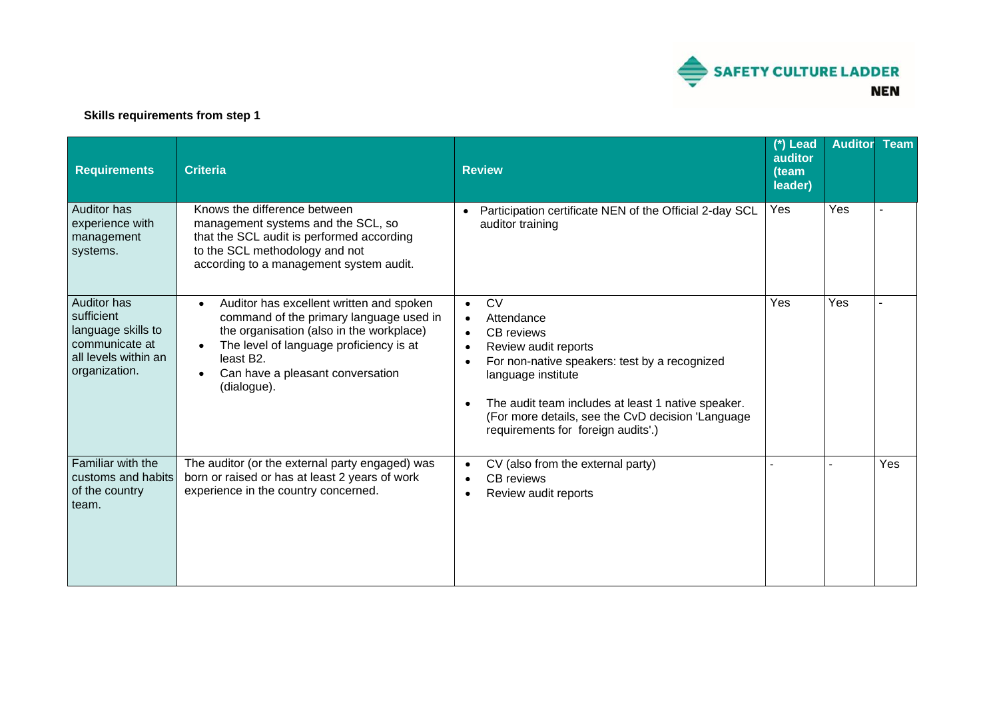

### **Skills requirements from step 1**

| <b>Requirements</b>                                                                                        | <b>Criteria</b>                                                                                                                                                                                                                                                      | <b>Review</b>                                                                                                                                                                                                                                                                                                                       | (*) Lead<br>auditor<br>(team<br>leader) | <b>Auditor</b> | <b>Team</b> |
|------------------------------------------------------------------------------------------------------------|----------------------------------------------------------------------------------------------------------------------------------------------------------------------------------------------------------------------------------------------------------------------|-------------------------------------------------------------------------------------------------------------------------------------------------------------------------------------------------------------------------------------------------------------------------------------------------------------------------------------|-----------------------------------------|----------------|-------------|
| <b>Auditor has</b><br>experience with<br>management<br>systems.                                            | Knows the difference between<br>management systems and the SCL, so<br>that the SCL audit is performed according<br>to the SCL methodology and not<br>according to a management system audit.                                                                         | Participation certificate NEN of the Official 2-day SCL<br>auditor training                                                                                                                                                                                                                                                         | Yes                                     | Yes            |             |
| Auditor has<br>sufficient<br>language skills to<br>communicate at<br>all levels within an<br>organization. | Auditor has excellent written and spoken<br>$\bullet$<br>command of the primary language used in<br>the organisation (also in the workplace)<br>The level of language proficiency is at<br>least B <sub>2</sub> .<br>Can have a pleasant conversation<br>(dialogue). | <b>CV</b><br>$\bullet$<br>Attendance<br><b>CB</b> reviews<br>$\bullet$<br>Review audit reports<br>$\bullet$<br>For non-native speakers: test by a recognized<br>language institute<br>The audit team includes at least 1 native speaker.<br>(For more details, see the CvD decision 'Language<br>requirements for foreign audits'.) | Yes                                     | Yes            |             |
| Familiar with the<br>customs and habits<br>of the country<br>team.                                         | The auditor (or the external party engaged) was<br>born or raised or has at least 2 years of work<br>experience in the country concerned.                                                                                                                            | CV (also from the external party)<br>$\bullet$<br><b>CB</b> reviews<br>$\bullet$<br>Review audit reports<br>$\bullet$                                                                                                                                                                                                               |                                         |                | Yes         |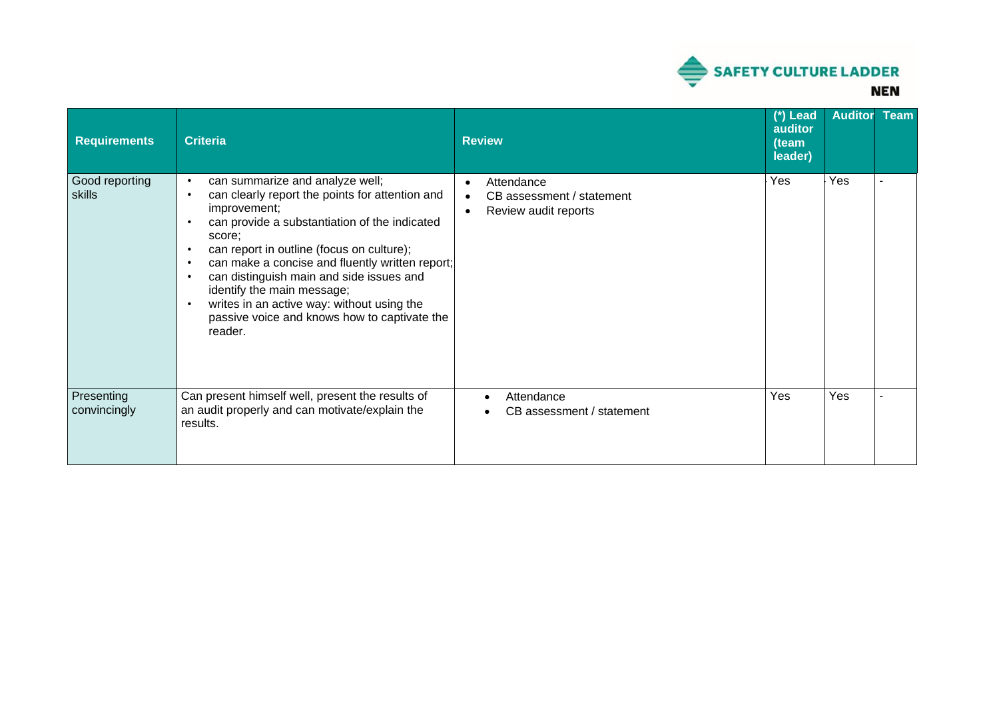

| <b>Requirements</b>        | <b>Criteria</b>                                                                                                                                                                                                                                                                                                                                                                                                                                               | <b>Review</b>                                                                                          | (*) Lead<br>auditor<br>(team<br>leader) | <b>Auditor</b> | <b>Team</b> |
|----------------------------|---------------------------------------------------------------------------------------------------------------------------------------------------------------------------------------------------------------------------------------------------------------------------------------------------------------------------------------------------------------------------------------------------------------------------------------------------------------|--------------------------------------------------------------------------------------------------------|-----------------------------------------|----------------|-------------|
| Good reporting<br>skills   | can summarize and analyze well;<br>can clearly report the points for attention and<br>improvement;<br>can provide a substantiation of the indicated<br>score;<br>can report in outline (focus on culture);<br>$\bullet$<br>can make a concise and fluently written report;<br>can distinguish main and side issues and<br>identify the main message;<br>writes in an active way: without using the<br>passive voice and knows how to captivate the<br>reader. | Attendance<br>$\bullet$<br>CB assessment / statement<br>$\bullet$<br>Review audit reports<br>$\bullet$ | Yes                                     | Yes            |             |
| Presenting<br>convincingly | Can present himself well, present the results of<br>an audit properly and can motivate/explain the<br>results.                                                                                                                                                                                                                                                                                                                                                | Attendance<br>CB assessment / statement                                                                | Yes                                     | Yes            |             |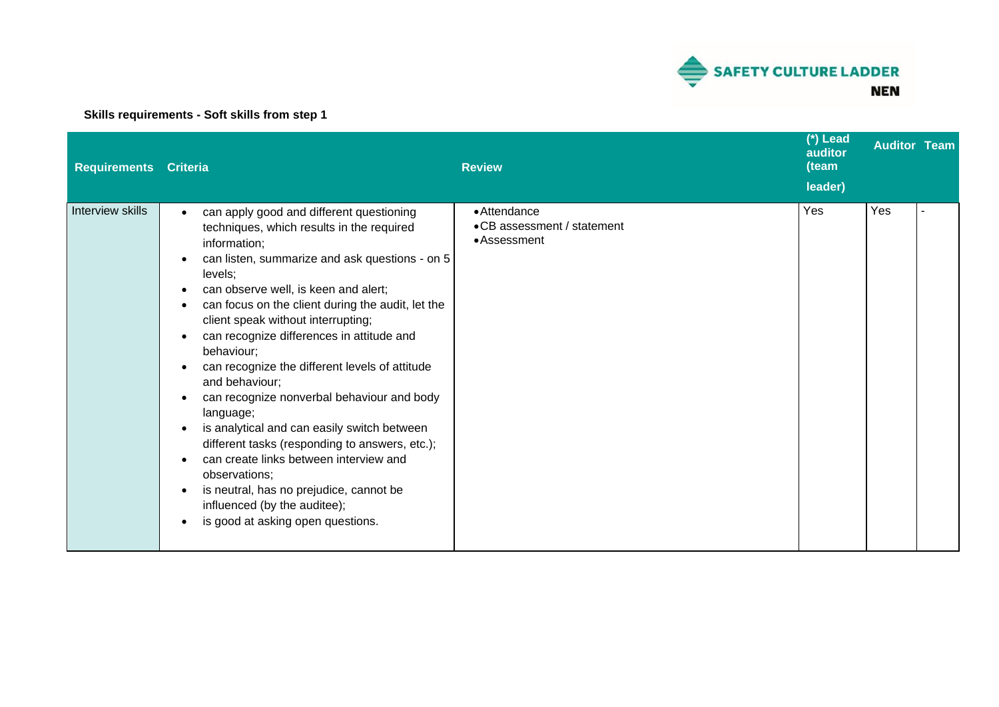

## **Skills requirements - Soft skills from step 1**

| <b>Requirements Criteria</b> |                                                                                                                                                                                                                                                                                                                                                                                                                                                                                                                                                                                                                                                                                                                                                                                          | <b>Review</b>                                              | (*) Lead<br>auditor<br>(team<br>leader) | <b>Auditor Team</b> |  |
|------------------------------|------------------------------------------------------------------------------------------------------------------------------------------------------------------------------------------------------------------------------------------------------------------------------------------------------------------------------------------------------------------------------------------------------------------------------------------------------------------------------------------------------------------------------------------------------------------------------------------------------------------------------------------------------------------------------------------------------------------------------------------------------------------------------------------|------------------------------------------------------------|-----------------------------------------|---------------------|--|
| Interview skills             | can apply good and different questioning<br>techniques, which results in the required<br>information;<br>can listen, summarize and ask questions - on 5<br>levels;<br>can observe well, is keen and alert;<br>can focus on the client during the audit, let the<br>client speak without interrupting;<br>can recognize differences in attitude and<br>behaviour;<br>can recognize the different levels of attitude<br>and behaviour;<br>can recognize nonverbal behaviour and body<br>language;<br>is analytical and can easily switch between<br>different tasks (responding to answers, etc.);<br>can create links between interview and<br>observations;<br>is neutral, has no prejudice, cannot be<br>$\bullet$<br>influenced (by the auditee);<br>is good at asking open questions. | • Attendance<br>•CB assessment / statement<br>• Assessment | Yes                                     | Yes                 |  |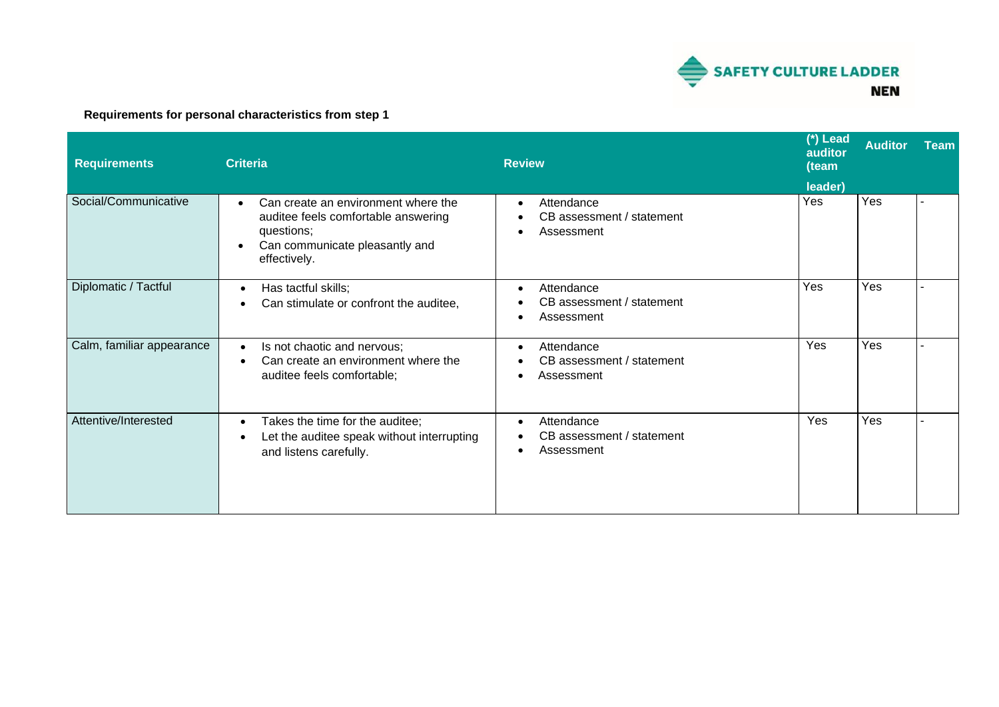

## **Requirements for personal characteristics from step 1**

| <b>Requirements</b>       | <b>Criteria</b>                                                                                                                            | <b>Review</b>                                                      | $(*)$ Lead<br>auditor<br>(team | <b>Auditor</b> | <b>Team</b> |
|---------------------------|--------------------------------------------------------------------------------------------------------------------------------------------|--------------------------------------------------------------------|--------------------------------|----------------|-------------|
| Social/Communicative      | Can create an environment where the<br>auditee feels comfortable answering<br>questions;<br>Can communicate pleasantly and<br>effectively. | Attendance<br>CB assessment / statement<br>Assessment              | leader)<br>Yes                 | Yes            |             |
| Diplomatic / Tactful      | Has tactful skills;<br>$\bullet$<br>Can stimulate or confront the auditee,                                                                 | Attendance<br>CB assessment / statement<br>Assessment              | Yes                            | Yes            |             |
| Calm, familiar appearance | Is not chaotic and nervous;<br>$\bullet$<br>Can create an environment where the<br>$\bullet$<br>auditee feels comfortable;                 | Attendance<br>$\bullet$<br>CB assessment / statement<br>Assessment | Yes                            | Yes            |             |
| Attentive/Interested      | Takes the time for the auditee;<br>$\bullet$<br>Let the auditee speak without interrupting<br>and listens carefully.                       | Attendance<br>CB assessment / statement<br>Assessment              | Yes                            | Yes            |             |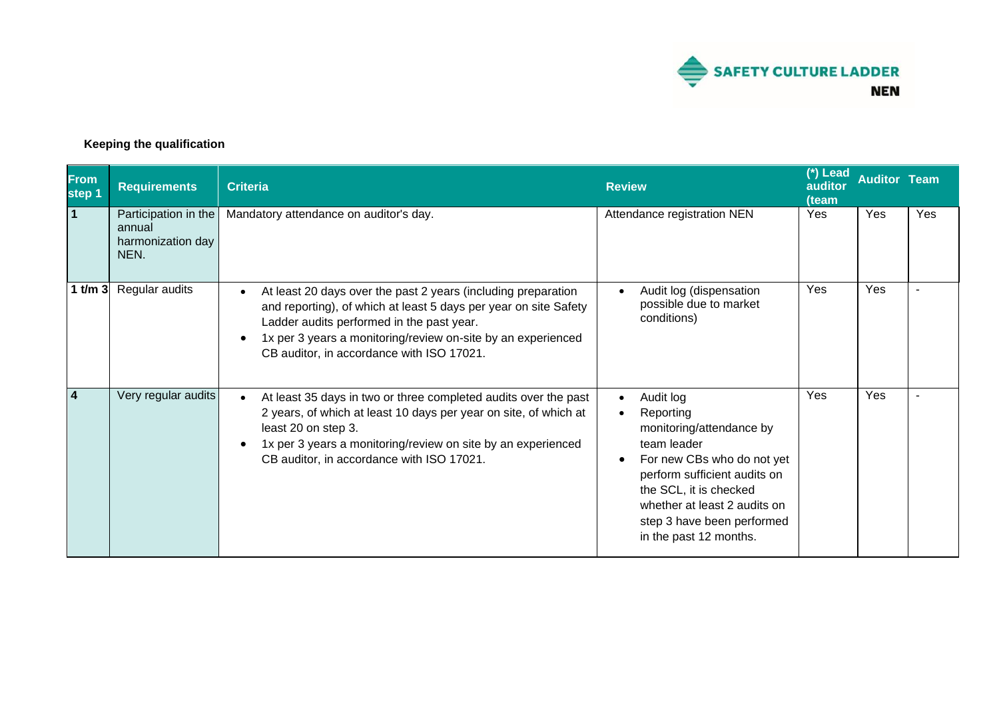

## **Keeping the qualification**

| <b>From</b><br>step 1 | <b>Requirements</b>                                         | <b>Criteria</b>                                                                                                                                                                                                                                                                             | <b>Review</b>                                                                                                                                                                                                                                                                            | (*) Lead<br>auditor<br>(team | <b>Auditor Team</b> |     |
|-----------------------|-------------------------------------------------------------|---------------------------------------------------------------------------------------------------------------------------------------------------------------------------------------------------------------------------------------------------------------------------------------------|------------------------------------------------------------------------------------------------------------------------------------------------------------------------------------------------------------------------------------------------------------------------------------------|------------------------------|---------------------|-----|
| $\overline{1}$        | Participation in the<br>annual<br>harmonization day<br>NEN. | Mandatory attendance on auditor's day.                                                                                                                                                                                                                                                      | Attendance registration NEN                                                                                                                                                                                                                                                              | Yes                          | Yes                 | Yes |
| $1$ t/m $3$           | Regular audits                                              | At least 20 days over the past 2 years (including preparation<br>and reporting), of which at least 5 days per year on site Safety<br>Ladder audits performed in the past year.<br>1x per 3 years a monitoring/review on-site by an experienced<br>CB auditor, in accordance with ISO 17021. | Audit log (dispensation<br>$\bullet$<br>possible due to market<br>conditions)                                                                                                                                                                                                            | Yes                          | Yes                 |     |
| $\overline{4}$        | Very regular audits                                         | At least 35 days in two or three completed audits over the past<br>2 years, of which at least 10 days per year on site, of which at<br>least 20 on step 3.<br>1x per 3 years a monitoring/review on site by an experienced<br>CB auditor, in accordance with ISO 17021.                     | Audit log<br>$\bullet$<br>Reporting<br>$\bullet$<br>monitoring/attendance by<br>team leader<br>For new CBs who do not yet<br>$\bullet$<br>perform sufficient audits on<br>the SCL, it is checked<br>whether at least 2 audits on<br>step 3 have been performed<br>in the past 12 months. | Yes                          | Yes                 |     |